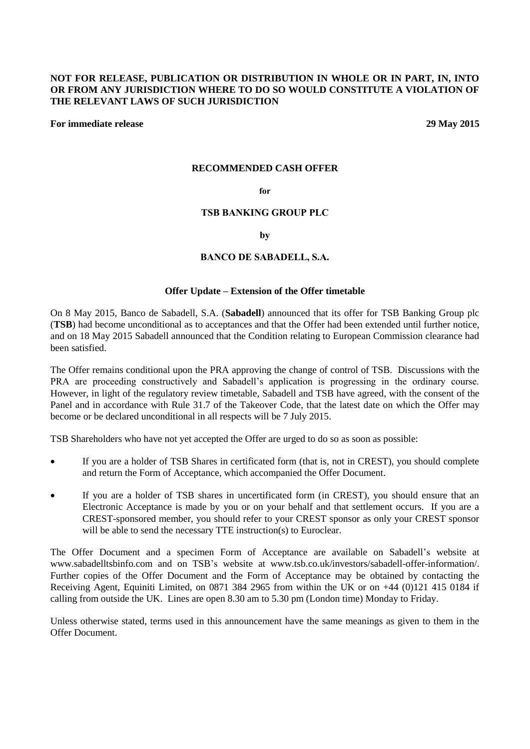## **NOT FOR RELEASE, PUBLICATION OR DISTRIBUTION IN WHOLE OR IN PART, IN, INTO OR FROM ANY JURISDICTION WHERE TO DO SO WOULD CONSTITUTE A VIOLATION OF THE RELEVANT LAWS OF SUCH JURISDICTION**

**For immediate release 29 May 2015**

#### **RECOMMENDED CASH OFFER**

#### **for**

### **TSB BANKING GROUP PLC**

**by**

#### **BANCO DE SABADELL, S.A.**

### **Offer Update – Extension of the Offer timetable**

On 8 May 2015, Banco de Sabadell, S.A. (**Sabadell**) announced that its offer for TSB Banking Group plc (**TSB**) had become unconditional as to acceptances and that the Offer had been extended until further notice, and on 18 May 2015 Sabadell announced that the Condition relating to European Commission clearance had been satisfied.

The Offer remains conditional upon the PRA approving the change of control of TSB. Discussions with the PRA are proceeding constructively and Sabadell's application is progressing in the ordinary course. However, in light of the regulatory review timetable, Sabadell and TSB have agreed, with the consent of the Panel and in accordance with Rule 31.7 of the Takeover Code, that the latest date on which the Offer may become or be declared unconditional in all respects will be 7 July 2015.

TSB Shareholders who have not yet accepted the Offer are urged to do so as soon as possible:

- If you are a holder of TSB Shares in certificated form (that is, not in CREST), you should complete and return the Form of Acceptance, which accompanied the Offer Document.
- If you are a holder of TSB shares in uncertificated form (in CREST), you should ensure that an Electronic Acceptance is made by you or on your behalf and that settlement occurs. If you are a CREST-sponsored member, you should refer to your CREST sponsor as only your CREST sponsor will be able to send the necessary TTE instruction(s) to Euroclear.

The Offer Document and a specimen Form of Acceptance are available on Sabadell's website at www.sabadelltsbinfo.com and on TSB's website at www.tsb.co.uk/investors/sabadell-offer-information/. Further copies of the Offer Document and the Form of Acceptance may be obtained by contacting the Receiving Agent, Equiniti Limited, on 0871 384 2965 from within the UK or on +44 (0)121 415 0184 if calling from outside the UK. Lines are open 8.30 am to 5.30 pm (London time) Monday to Friday.

Unless otherwise stated, terms used in this announcement have the same meanings as given to them in the Offer Document.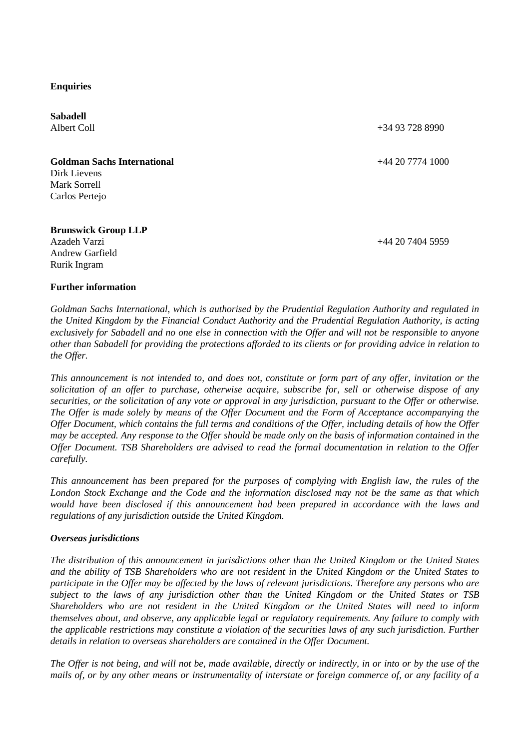**Enquiries**

**Sabadell** Albert Coll +34 93 728 8990 **Goldman Sachs International** +44 20 7774 1000 Dirk Lievens Mark Sorrell Carlos Pertejo **Brunswick Group LLP** Azadeh Varzi Andrew Garfield Rurik Ingram +44 20 7404 5959

## **Further information**

*Goldman Sachs International, which is authorised by the Prudential Regulation Authority and regulated in the United Kingdom by the Financial Conduct Authority and the Prudential Regulation Authority, is acting exclusively for Sabadell and no one else in connection with the Offer and will not be responsible to anyone other than Sabadell for providing the protections afforded to its clients or for providing advice in relation to the Offer.*

*This announcement is not intended to, and does not, constitute or form part of any offer, invitation or the solicitation of an offer to purchase, otherwise acquire, subscribe for, sell or otherwise dispose of any securities, or the solicitation of any vote or approval in any jurisdiction, pursuant to the Offer or otherwise. The Offer is made solely by means of the Offer Document and the Form of Acceptance accompanying the Offer Document, which contains the full terms and conditions of the Offer, including details of how the Offer may be accepted. Any response to the Offer should be made only on the basis of information contained in the Offer Document. TSB Shareholders are advised to read the formal documentation in relation to the Offer carefully.*

*This announcement has been prepared for the purposes of complying with English law, the rules of the London Stock Exchange and the Code and the information disclosed may not be the same as that which would have been disclosed if this announcement had been prepared in accordance with the laws and regulations of any jurisdiction outside the United Kingdom.*

#### *Overseas jurisdictions*

*The distribution of this announcement in jurisdictions other than the United Kingdom or the United States and the ability of TSB Shareholders who are not resident in the United Kingdom or the United States to participate in the Offer may be affected by the laws of relevant jurisdictions. Therefore any persons who are subject to the laws of any jurisdiction other than the United Kingdom or the United States or TSB Shareholders who are not resident in the United Kingdom or the United States will need to inform themselves about, and observe, any applicable legal or regulatory requirements. Any failure to comply with the applicable restrictions may constitute a violation of the securities laws of any such jurisdiction. Further details in relation to overseas shareholders are contained in the Offer Document.*

*The Offer is not being, and will not be, made available, directly or indirectly, in or into or by the use of the mails of, or by any other means or instrumentality of interstate or foreign commerce of, or any facility of a*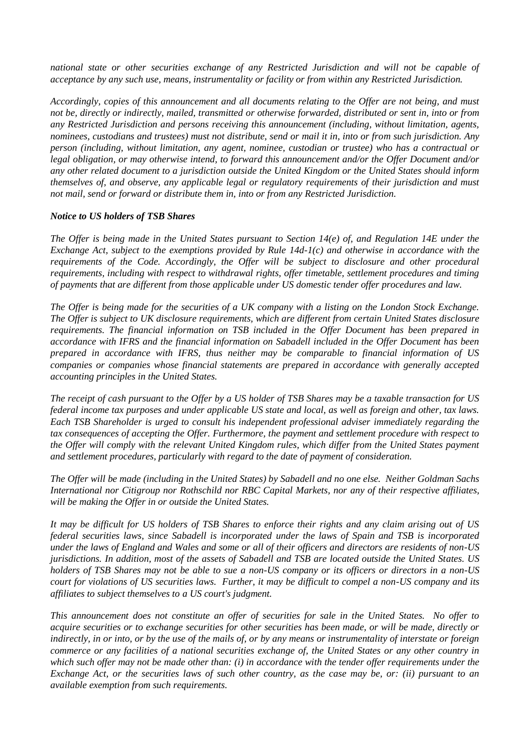*national state or other securities exchange of any Restricted Jurisdiction and will not be capable of acceptance by any such use, means, instrumentality or facility or from within any Restricted Jurisdiction.*

*Accordingly, copies of this announcement and all documents relating to the Offer are not being, and must not be, directly or indirectly, mailed, transmitted or otherwise forwarded, distributed or sent in, into or from any Restricted Jurisdiction and persons receiving this announcement (including, without limitation, agents, nominees, custodians and trustees) must not distribute, send or mail it in, into or from such jurisdiction. Any person (including, without limitation, any agent, nominee, custodian or trustee) who has a contractual or legal obligation, or may otherwise intend, to forward this announcement and/or the Offer Document and/or any other related document to a jurisdiction outside the United Kingdom or the United States should inform themselves of, and observe, any applicable legal or regulatory requirements of their jurisdiction and must not mail, send or forward or distribute them in, into or from any Restricted Jurisdiction.*

## *Notice to US holders of TSB Shares*

*The Offer is being made in the United States pursuant to Section 14(e) of, and Regulation 14E under the Exchange Act, subject to the exemptions provided by Rule 14d-1(c) and otherwise in accordance with the requirements of the Code. Accordingly, the Offer will be subject to disclosure and other procedural requirements, including with respect to withdrawal rights, offer timetable, settlement procedures and timing of payments that are different from those applicable under US domestic tender offer procedures and law.*

*The Offer is being made for the securities of a UK company with a listing on the London Stock Exchange. The Offer is subject to UK disclosure requirements, which are different from certain United States disclosure requirements. The financial information on TSB included in the Offer Document has been prepared in accordance with IFRS and the financial information on Sabadell included in the Offer Document has been prepared in accordance with IFRS, thus neither may be comparable to financial information of US companies or companies whose financial statements are prepared in accordance with generally accepted accounting principles in the United States.*

*The receipt of cash pursuant to the Offer by a US holder of TSB Shares may be a taxable transaction for US federal income tax purposes and under applicable US state and local, as well as foreign and other, tax laws. Each TSB Shareholder is urged to consult his independent professional adviser immediately regarding the tax consequences of accepting the Offer. Furthermore, the payment and settlement procedure with respect to the Offer will comply with the relevant United Kingdom rules, which differ from the United States payment and settlement procedures, particularly with regard to the date of payment of consideration.*

*The Offer will be made (including in the United States) by Sabadell and no one else. Neither Goldman Sachs International nor Citigroup nor Rothschild nor RBC Capital Markets, nor any of their respective affiliates, will be making the Offer in or outside the United States.*

*It may be difficult for US holders of TSB Shares to enforce their rights and any claim arising out of US federal securities laws, since Sabadell is incorporated under the laws of Spain and TSB is incorporated under the laws of England and Wales and some or all of their officers and directors are residents of non-US jurisdictions. In addition, most of the assets of Sabadell and TSB are located outside the United States. US holders of TSB Shares may not be able to sue a non-US company or its officers or directors in a non-US court for violations of US securities laws. Further, it may be difficult to compel a non-US company and its affiliates to subject themselves to a US court's judgment.*

*This announcement does not constitute an offer of securities for sale in the United States. No offer to acquire securities or to exchange securities for other securities has been made, or will be made, directly or indirectly, in or into, or by the use of the mails of, or by any means or instrumentality of interstate or foreign commerce or any facilities of a national securities exchange of, the United States or any other country in which such offer may not be made other than: (i) in accordance with the tender offer requirements under the Exchange Act, or the securities laws of such other country, as the case may be, or: (ii) pursuant to an available exemption from such requirements.*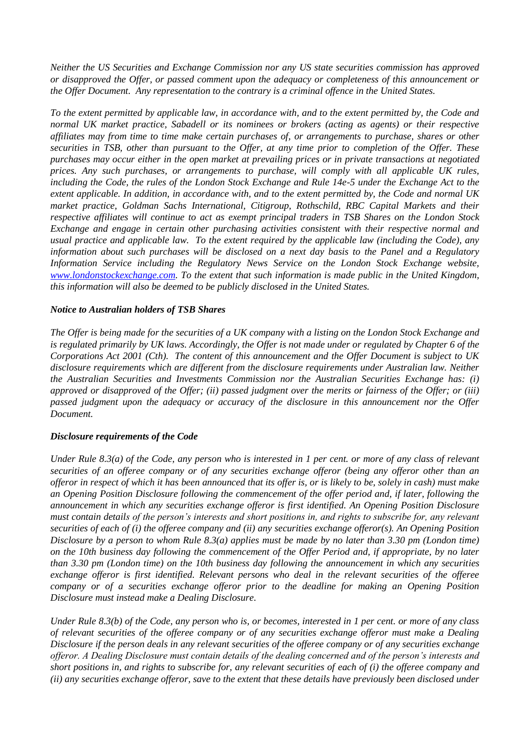*Neither the US Securities and Exchange Commission nor any US state securities commission has approved or disapproved the Offer, or passed comment upon the adequacy or completeness of this announcement or the Offer Document. Any representation to the contrary is a criminal offence in the United States.*

*To the extent permitted by applicable law, in accordance with, and to the extent permitted by, the Code and normal UK market practice, Sabadell or its nominees or brokers (acting as agents) or their respective affiliates may from time to time make certain purchases of, or arrangements to purchase, shares or other securities in TSB, other than pursuant to the Offer, at any time prior to completion of the Offer. These purchases may occur either in the open market at prevailing prices or in private transactions at negotiated prices. Any such purchases, or arrangements to purchase, will comply with all applicable UK rules, including the Code, the rules of the London Stock Exchange and Rule 14e-5 under the Exchange Act to the extent applicable. In addition, in accordance with, and to the extent permitted by, the Code and normal UK market practice, Goldman Sachs International, Citigroup, Rothschild, RBC Capital Markets and their respective affiliates will continue to act as exempt principal traders in TSB Shares on the London Stock Exchange and engage in certain other purchasing activities consistent with their respective normal and usual practice and applicable law. To the extent required by the applicable law (including the Code), any information about such purchases will be disclosed on a next day basis to the Panel and a Regulatory Information Service including the Regulatory News Service on the London Stock Exchange website, [www.londonstockexchange.com.](http://www.londonstockexchange.com/) To the extent that such information is made public in the United Kingdom, this information will also be deemed to be publicly disclosed in the United States.*

# *Notice to Australian holders of TSB Shares*

*The Offer is being made for the securities of a UK company with a listing on the London Stock Exchange and is regulated primarily by UK laws. Accordingly, the Offer is not made under or regulated by Chapter 6 of the Corporations Act 2001 (Cth). The content of this announcement and the Offer Document is subject to UK disclosure requirements which are different from the disclosure requirements under Australian law. Neither the Australian Securities and Investments Commission nor the Australian Securities Exchange has: (i) approved or disapproved of the Offer; (ii) passed judgment over the merits or fairness of the Offer; or (iii) passed judgment upon the adequacy or accuracy of the disclosure in this announcement nor the Offer Document.*

## *Disclosure requirements of the Code*

*Under Rule 8.3(a) of the Code, any person who is interested in 1 per cent. or more of any class of relevant securities of an offeree company or of any securities exchange offeror (being any offeror other than an offeror in respect of which it has been announced that its offer is, or is likely to be, solely in cash) must make an Opening Position Disclosure following the commencement of the offer period and, if later, following the announcement in which any securities exchange offeror is first identified. An Opening Position Disclosure must contain details of the person's interests and short positions in, and rights to subscribe for, any relevant securities of each of (i) the offeree company and (ii) any securities exchange offeror(s). An Opening Position Disclosure by a person to whom Rule 8.3(a) applies must be made by no later than 3.30 pm (London time) on the 10th business day following the commencement of the Offer Period and, if appropriate, by no later than 3.30 pm (London time) on the 10th business day following the announcement in which any securities exchange offeror is first identified. Relevant persons who deal in the relevant securities of the offeree company or of a securities exchange offeror prior to the deadline for making an Opening Position Disclosure must instead make a Dealing Disclosure.*

*Under Rule 8.3(b) of the Code, any person who is, or becomes, interested in 1 per cent. or more of any class of relevant securities of the offeree company or of any securities exchange offeror must make a Dealing Disclosure if the person deals in any relevant securities of the offeree company or of any securities exchange offeror. A Dealing Disclosure must contain details of the dealing concerned and of the person's interests and short positions in, and rights to subscribe for, any relevant securities of each of (i) the offeree company and (ii) any securities exchange offeror, save to the extent that these details have previously been disclosed under*